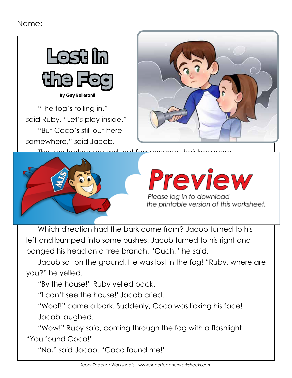

"The fog's rolling in," said Ruby. "Let's play inside." "But Coco's still out here somewhere," said Jacob.





# **Preview**

Please log in to download the printable version of this worksheet.

Which direction had the bark come from? Jacob turned to his left and bumped into some bushes. Jacob turned to his right and banged his head on a tree branch. "Ouch!" he said.

Jacob sat on the ground. He was lost in the fog! "Ruby, where are you?" he yelled.

"By the house!" Ruby yelled back.

"I can't see the house!"Jacob cried.

"Woof!" came a bark. Suddenly, Coco was licking his face! Jacob laughed.

"Wow!" Ruby said, coming through the fog with a flashlight.

"You found Coco!"

"No," said Jacob. "Coco found me!"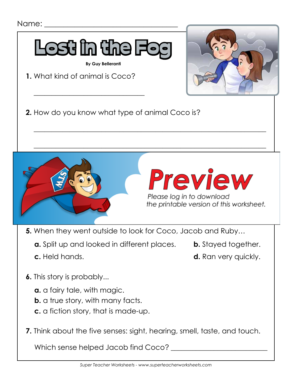

- **5.** When they went outside to look for Coco, Jacob and Ruby…
	- **a.** Split up and looked in different places. **b.** Stayed together.
		-
- 
- **c.** Held hands. **d.** Ran very quickly.
- **6.** This story is probably...
	- **a.** a fairy tale, with magic.
	- **b.** a true story, with many facts.
	- **c.** a fiction story, that is made-up.
- **7.** Think about the five senses: sight, hearing, smell, taste, and touch.

Which sense helped Jacob find Coco?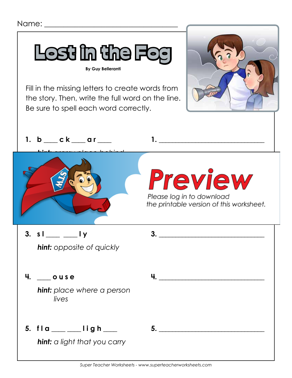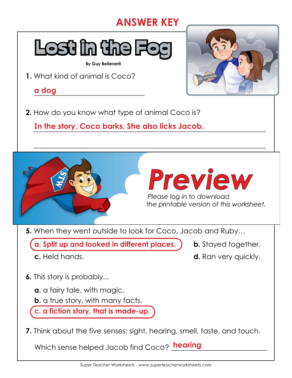## **ANSWER KEY**

 $\overline{\phantom{a}}$  , and the contract of the contract of the contract of the contract of the contract of the contract of the contract of the contract of the contract of the contract of the contract of the contract of the contrac



**By Guy Belleranti**

**1.** What kind of animal is Coco?

\_\_\_\_\_\_\_\_\_\_\_\_\_\_\_\_\_\_\_\_\_\_\_\_\_\_\_\_\_\_\_ **a dog**

**2.** How do you know what type of animal Coco is?

\_\_\_\_\_\_\_\_\_\_\_\_\_\_\_\_\_\_\_\_\_\_\_\_\_\_\_\_\_\_\_\_\_\_\_\_\_\_\_\_\_\_\_\_\_\_\_\_\_\_\_\_\_\_\_\_\_\_\_\_\_\_\_\_\_ **In the story, Coco barks. She also licks Jacob.**





the printable version of this worksheet.

**5.** When they went outside to look for Coco, Jacob and Ruby…

**a. Split up and looked in different places. b.** Stayed together.

- 
- **c.** Held hands. **d.** Ran very quickly.
- **6.** This story is probably...
	- **a.** a fairy tale, with magic.
	- **b.** a true story, with many facts.

**c. a fiction story, that is made-up.**

**7.** Think about the five senses: sight, hearing, smell, taste, and touch.

Which sense helped Jacob find Coco? <mark>hearing</mark> \_\_\_\_\_\_\_\_\_\_\_\_\_\_\_\_